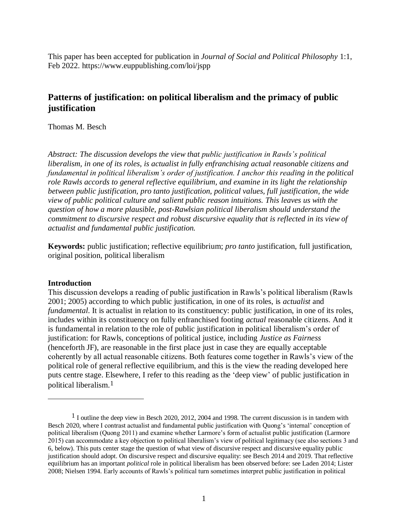This paper has been accepted for publication in *Journal of Social and Political Philosophy* 1:1, Feb 2022. https://www.euppublishing.com/loi/jspp

# **Patterns of justification: on political liberalism and the primacy of public justification**

Thomas M. Besch

*Abstract: The discussion develops the view that public justification in Rawls's political liberalism, in one of its roles, is actualist in fully enfranchising actual reasonable citizens and fundamental in political liberalism's order of justification. I anchor this reading in the political role Rawls accords to general reflective equilibrium, and examine in its light the relationship between public justification, pro tanto justification, political values, full justification, the wide view of public political culture and salient public reason intuitions. This leaves us with the question of how a more plausible, post-Rawlsian political liberalism should understand the commitment to discursive respect and robust discursive equality that is reflected in its view of actualist and fundamental public justification.*

**Keywords:** public justification; reflective equilibrium; *pro tanto* justification, full justification, original position, political liberalism

## **Introduction**

 $\overline{a}$ 

This discussion develops a reading of public justification in Rawls's political liberalism (Rawls 2001; 2005) according to which public justification, in one of its roles, is *actualist* and *fundamental*. It is actualist in relation to its constituency: public justification, in one of its roles, includes within its constituency on fully enfranchised footing *actual* reasonable citizens. And it is fundamental in relation to the role of public justification in political liberalism's order of justification: for Rawls, conceptions of political justice, including *Justice as Fairness* (henceforth JF), are reasonable in the first place just in case they are equally acceptable coherently by all actual reasonable citizens. Both features come together in Rawls's view of the political role of general reflective equilibrium, and this is the view the reading developed here puts centre stage. Elsewhere, I refer to this reading as the 'deep view' of public justification in political liberalism. 1

<sup>&</sup>lt;sup>1</sup> I outline the deep view in Besch 2020, 2012, 2004 and 1998. The current discussion is in tandem with Besch 2020, where I contrast actualist and fundamental public justification with Quong's 'internal' conception of political liberalism (Quong 2011) and examine whether Larmore's form of actualist public justification (Larmore 2015) can accommodate a key objection to political liberalism's view of political legitimacy (see also sections 3 and 6, below). This puts center stage the question of what view of discursive respect and discursive equality public justification should adopt. On discursive respect and discursive equality: see Besch 2014 and 2019. That reflective equilibrium has an important *political* role in political liberalism has been observed before: see Laden 2014; Lister 2008; Nielsen 1994. Early accounts of Rawls's political turn sometimes interpret public justification in political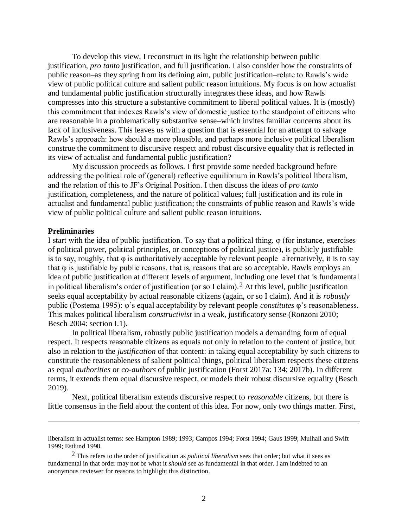To develop this view, I reconstruct in its light the relationship between public justification, *pro tanto* justification, and full justification. I also consider how the constraints of public reason–as they spring from its defining aim, public justification–relate to Rawls's wide view of public political culture and salient public reason intuitions. My focus is on how actualist and fundamental public justification structurally integrates these ideas, and how Rawls compresses into this structure a substantive commitment to liberal political values. It is (mostly) this commitment that indexes Rawls's view of domestic justice to the standpoint of citizens who are reasonable in a problematically substantive sense–which invites familiar concerns about its lack of inclusiveness. This leaves us with a question that is essential for an attempt to salvage Rawls's approach: how should a more plausible, and perhaps more inclusive political liberalism construe the commitment to discursive respect and robust discursive equality that is reflected in its view of actualist and fundamental public justification?

My discussion proceeds as follows. I first provide some needed background before addressing the political role of (general) reflective equilibrium in Rawls's political liberalism, and the relation of this to JF's Original Position. I then discuss the ideas of *pro tanto* justification, completeness, and the nature of political values; full justification and its role in actualist and fundamental public justification; the constraints of public reason and Rawls's wide view of public political culture and salient public reason intuitions.

## **Preliminaries**

 $\overline{a}$ 

I start with the idea of public justification. To say that a political thing,  $\varphi$  (for instance, exercises of political power, political principles, or conceptions of political justice), is publicly justifiable is to say, roughly, that  $\varphi$  is authoritatively acceptable by relevant people–alternatively, it is to say that  $\varphi$  is justifiable by public reasons, that is, reasons that are so acceptable. Rawls employs an idea of public justification at different levels of argument, including one level that is fundamental in political liberalism's order of justification (or so I claim).<sup>2</sup> At this level, public justification seeks equal acceptability by actual reasonable citizens (again, or so I claim). And it is *robustly* public (Postema 1995): φ's equal acceptability by relevant people *constitutes* φ's reasonableness. This makes political liberalism *constructivist* in a weak, justificatory sense (Ronzoni 2010; Besch 2004: section I.1).

In political liberalism, robustly public justification models a demanding form of equal respect. It respects reasonable citizens as equals not only in relation to the content of justice, but also in relation to the *justification* of that content: in taking equal acceptability by such citizens to constitute the reasonableness of salient political things, political liberalism respects these citizens as equal *authorities* or *co-authors* of public justification (Forst 2017a: 134; 2017b). In different terms, it extends them equal discursive respect, or models their robust discursive equality (Besch 2019).

Next, political liberalism extends discursive respect to *reasonable* citizens, but there is little consensus in the field about the content of this idea. For now, only two things matter. First,

liberalism in actualist terms: see Hampton 1989; 1993; Campos 1994; Forst 1994; Gaus 1999; Mulhall and Swift 1999; Estlund 1998.

<sup>2</sup> This refers to the order of justification as *political liberalism* sees that order; but what it sees as fundamental in that order may not be what it *should* see as fundamental in that order. I am indebted to an anonymous reviewer for reasons to highlight this distinction.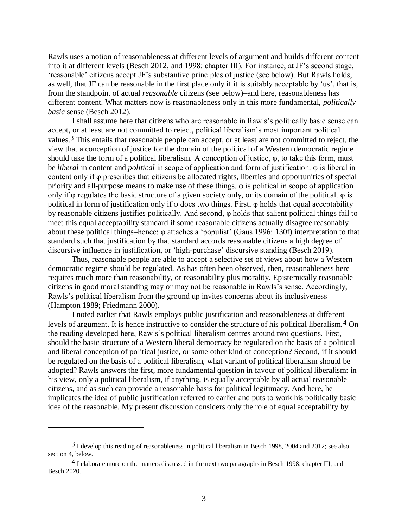Rawls uses a notion of reasonableness at different levels of argument and builds different content into it at different levels (Besch 2012, and 1998: chapter III). For instance, at JF's second stage, 'reasonable' citizens accept JF's substantive principles of justice (see below). But Rawls holds, as well, that JF can be reasonable in the first place only if it is suitably acceptable by 'us', that is, from the standpoint of actual *reasonable* citizens (see below)–and here, reasonableness has different content. What matters now is reasonableness only in this more fundamental, *politically basic* sense (Besch 2012).

I shall assume here that citizens who are reasonable in Rawls's politically basic sense can accept, or at least are not committed to reject, political liberalism's most important political values.3 This entails that reasonable people can accept, or at least are not committed to reject, the view that a conception of justice for the domain of the political of a Western democratic regime should take the form of a political liberalism. A conception of justice, φ, to take this form, must be *liberal* in content and *political* in scope of application and form of justification. φ is liberal in content only if φ prescribes that citizens be allocated rights, liberties and opportunities of special priority and all-purpose means to make use of these things. φ is political in scope of application only if  $\varphi$  regulates the basic structure of a given society only, or its domain of the political.  $\varphi$  is political in form of justification only if  $\varphi$  does two things. First,  $\varphi$  holds that equal acceptability by reasonable citizens justifies politically. And second, φ holds that salient political things fail to meet this equal acceptability standard if some reasonable citizens actually disagree reasonably about these political things–hence: φ attaches a 'populist' (Gaus 1996: 130f) interpretation to that standard such that justification by that standard accords reasonable citizens a high degree of discursive influence in justification, or 'high-purchase' discursive standing (Besch 2019).

Thus, reasonable people are able to accept a selective set of views about how a Western democratic regime should be regulated. As has often been observed, then, reasonableness here requires much more than reasonability, or reasonability plus morality. Epistemically reasonable citizens in good moral standing may or may not be reasonable in Rawls's sense. Accordingly, Rawls's political liberalism from the ground up invites concerns about its inclusiveness (Hampton 1989; Friedmann 2000).

I noted earlier that Rawls employs public justification and reasonableness at different levels of argument. It is hence instructive to consider the structure of his political liberalism.4 On the reading developed here, Rawls's political liberalism centres around two questions. First, should the basic structure of a Western liberal democracy be regulated on the basis of a political and liberal conception of political justice, or some other kind of conception? Second, if it should be regulated on the basis of a political liberalism, what variant of political liberalism should be adopted? Rawls answers the first, more fundamental question in favour of political liberalism: in his view, only a political liberalism, if anything, is equally acceptable by all actual reasonable citizens, and as such can provide a reasonable basis for political legitimacy. And here, he implicates the idea of public justification referred to earlier and puts to work his politically basic idea of the reasonable. My present discussion considers only the role of equal acceptability by

<sup>&</sup>lt;sup>3</sup> I develop this reading of reasonableness in political liberalism in Besch 1998, 2004 and 2012; see also section 4, below.

<sup>4</sup> I elaborate more on the matters discussed in the next two paragraphs in Besch 1998: chapter III, and Besch 2020.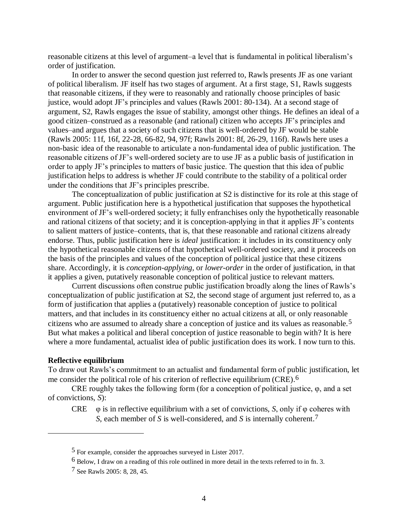reasonable citizens at this level of argument–a level that is fundamental in political liberalism's order of justification.

In order to answer the second question just referred to, Rawls presents JF as one variant of political liberalism. JF itself has two stages of argument. At a first stage, S1, Rawls suggests that reasonable citizens, if they were to reasonably and rationally choose principles of basic justice, would adopt JF's principles and values (Rawls 2001: 80-134). At a second stage of argument, S2, Rawls engages the issue of stability, amongst other things. He defines an ideal of a good citizen–construed as a reasonable (and rational) citizen who accepts JF's principles and values–and argues that a society of such citizens that is well-ordered by JF would be stable (Rawls 2005: 11f, 16f, 22-28, 66-82, 94, 97f; Rawls 2001: 8f, 26-29, 116f). Rawls here uses a non-basic idea of the reasonable to articulate a non-fundamental idea of public justification. The reasonable citizens of JF's well-ordered society are to use JF as a public basis of justification in order to apply JF's principles to matters of basic justice. The question that this idea of public justification helps to address is whether JF could contribute to the stability of a political order under the conditions that JF's principles prescribe.

The conceptualization of public justification at S2 is distinctive for its role at this stage of argument. Public justification here is a hypothetical justification that supposes the hypothetical environment of JF's well-ordered society; it fully enfranchises only the hypothetically reasonable and rational citizens of that society; and it is conception-applying in that it applies JF's contents to salient matters of justice–contents, that is, that these reasonable and rational citizens already endorse. Thus, public justification here is *ideal* justification: it includes in its constituency only the hypothetical reasonable citizens of that hypothetical well-ordered society, and it proceeds on the basis of the principles and values of the conception of political justice that these citizens share. Accordingly, it is *conception-applying*, or *lower-order* in the order of justification, in that it applies a given, putatively reasonable conception of political justice to relevant matters.

Current discussions often construe public justification broadly along the lines of Rawls's conceptualization of public justification at S2, the second stage of argument just referred to, as a form of justification that applies a (putatively) reasonable conception of justice to political matters, and that includes in its constituency either no actual citizens at all, or only reasonable citizens who are assumed to already share a conception of justice and its values as reasonable.5 But what makes a political and liberal conception of justice reasonable to begin with? It is here where a more fundamental, actualist idea of public justification does its work. I now turn to this.

#### **Reflective equilibrium**

 $\overline{a}$ 

To draw out Rawls's commitment to an actualist and fundamental form of public justification, let me consider the political role of his criterion of reflective equilibrium (CRE).<sup>6</sup>

CRE roughly takes the following form (for a conception of political justice, φ, and a set of convictions, *S*):

CRE  $\varphi$  is in reflective equilibrium with a set of convictions, *S*, only if  $\varphi$  coheres with *S*, each member of *S* is well-considered, and *S* is internally coherent.7

<sup>5</sup> For example, consider the approaches surveyed in Lister 2017.

<sup>6</sup> Below, I draw on a reading of this role outlined in more detail in the texts referred to in fn. 3.

<sup>7</sup> See Rawls 2005: 8, 28, 45.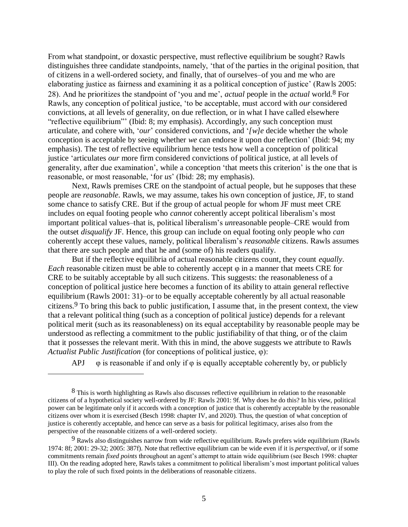From what standpoint, or doxastic perspective, must reflective equilibrium be sought? Rawls distinguishes three candidate standpoints, namely, 'that of the parties in the original position, that of citizens in a well-ordered society, and finally, that of ourselves–of you and me who are elaborating justice as fairness and examining it as a political conception of justice' (Rawls 2005: 28). And he prioritizes the standpoint of 'you and me', *actual* people in the *actual* world. 8 For Rawls, any conception of political justice, 'to be acceptable, must accord with *our* considered convictions, at all levels of generality, on due reflection, or in what I have called elsewhere "reflective equilibrium"' (Ibid: 8; my emphasis). Accordingly, any such conception must articulate, and cohere with, '*our*' considered convictions, and '*[w]e* decide whether the whole conception is acceptable by seeing whether *we* can endorse it upon due reflection' (Ibid: 94; my emphasis). The test of reflective equilibrium hence tests how well a conception of political justice 'articulates *our* more firm considered convictions of political justice, at all levels of generality, after due examination', while a conception 'that meets this criterion' is the one that is reasonable, or most reasonable, 'for *us*' (Ibid: 28; my emphasis).

Next, Rawls premises CRE on the standpoint of actual people, but he supposes that these people are *reasonable*. Rawls, we may assume, takes his own conception of justice, JF, to stand some chance to satisfy CRE. But if the group of actual people for whom JF must meet CRE includes on equal footing people who *cannot* coherently accept political liberalism's most important political values–that is, political liberalism's *un*reasonable people–CRE would from the outset *disqualify* JF. Hence, this group can include on equal footing only people who *can* coherently accept these values, namely, political liberalism's *reasonable* citizens. Rawls assumes that there are such people and that he and (some of) his readers qualify.

But if the reflective equilibria of actual reasonable citizens count, they count *equally*. *Each* reasonable citizen must be able to coherently accept φ in a manner that meets CRE for CRE to be suitably acceptable by all such citizens. This suggests: the reasonableness of a conception of political justice here becomes a function of its ability to attain general reflective equilibrium (Rawls 2001: 31)–or to be equally acceptable coherently by all actual reasonable citizens.<sup>9</sup> To bring this back to public justification, I assume that, in the present context, the view that a relevant political thing (such as a conception of political justice) depends for a relevant political merit (such as its reasonableness) on its equal acceptability by reasonable people may be understood as reflecting a commitment to the public justifiability of that thing, or of the claim that it possesses the relevant merit. With this in mind, the above suggests we attribute to Rawls *Actualist Public Justification* (for conceptions of political justice, φ):

APJ  $\varphi$  is reasonable if and only if  $\varphi$  is equally acceptable coherently by, or publicly

<sup>&</sup>lt;sup>8</sup> This is worth highlighting as Rawls also discusses reflective equilibrium in relation to the reasonable citizens of of a hypothetical society well-ordered by JF: Rawls 2001: 9f. Why does he do this? In his view, political power can be legitimate only if it accords with a conception of justice that is coherently acceptable by the reasonable citizens over whom it is exercised (Besch 1998: chapter IV, and 2020). Thus, the question of what conception of justice is coherently acceptable, and hence can serve as a basis for political legitimacy, arises also from the perspective of the reasonable citizens of a well-ordered society.

 $9$  Rawls also distinguishes narrow from wide reflective equilibrium. Rawls prefers wide equilibrium (Rawls 1974: 8f; 2001: 29-32; 2005: 387f). Note that reflective equilibrium can be wide even if it is *perspectival*, or if some commitments remain *fixed points* throughout an agent's attempt to attain wide equilibrium (see Besch 1998: chapter III). On the reading adopted here, Rawls takes a commitment to political liberalism's most important political values to play the role of such fixed points in the deliberations of reasonable citizens.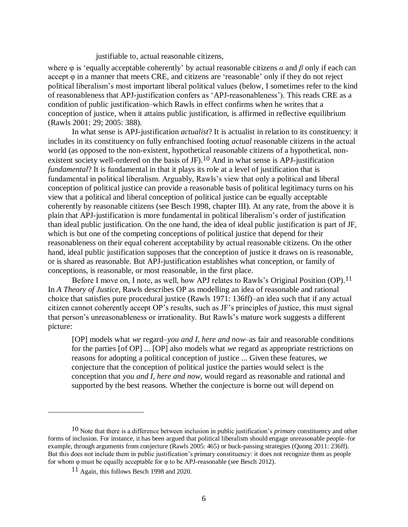## justifiable to, actual reasonable citizens,

where  $\varphi$  is 'equally acceptable coherently' by actual reasonable citizens  $\alpha$  and  $\beta$  only if each can accept φ in a manner that meets CRE, and citizens are 'reasonable' only if they do not reject political liberalism's most important liberal political values (below, I sometimes refer to the kind of reasonableness that APJ-justification confers as 'APJ-reasonableness'). This reads CRE as a condition of public justification–which Rawls in effect confirms when he writes that a conception of justice, when it attains public justification, is affirmed in reflective equilibrium (Rawls 2001: 29; 2005: 388).

In what sense is APJ-justification *actualist*? It is actualist in relation to its constituency: it includes in its constituency on fully enfranchised footing *actual* reasonable citizens in the actual world (as opposed to the non-existent, hypothetical reasonable citizens of a hypothetical, nonexistent society well-ordered on the basis of JF).<sup>10</sup> And in what sense is APJ-justification *fundamental*? It is fundamental in that it plays its role at a level of justification that is fundamental in political liberalism. Arguably, Rawls's view that only a political and liberal conception of political justice can provide a reasonable basis of political legitimacy turns on his view that a political and liberal conception of political justice can be equally acceptable coherently by reasonable citizens (see Besch 1998, chapter III). At any rate, from the above it is plain that APJ-justification is more fundamental in political liberalism's order of justification than ideal public justification. On the one hand, the idea of ideal public justification is part of JF, which is but one of the competing conceptions of political justice that depend for their reasonableness on their equal coherent acceptability by actual reasonable citizens. On the other hand, ideal public justification supposes that the conception of justice it draws on is reasonable, or is shared as reasonable. But APJ-justification establishes what conception, or family of conceptions, is reasonable, or most reasonable, in the first place.

Before I move on, I note, as well, how APJ relates to Rawls's Original Position (OP).<sup>11</sup> In *A Theory of Justice*, Rawls describes OP as modelling an idea of reasonable and rational choice that satisfies pure procedural justice (Rawls 1971: 136ff)–an idea such that if any actual citizen cannot coherently accept OP's results, such as JF's principles of justice, this must signal that person's unreasonableness or irrationality. But Rawls's mature work suggests a different picture:

[OP] models what *we* regard–*you and I, here and now*–as fair and reasonable conditions for the parties [of OP] ... [OP] also models what *we* regard as appropriate restrictions on reasons for adopting a political conception of justice ... Given these features, *we* conjecture that the conception of political justice the parties would select is the conception that *you and I, here and now*, would regard as reasonable and rational and supported by the best reasons. Whether the conjecture is borne out will depend on

<sup>10</sup> Note that there is a difference between inclusion in public justification's *primary* constituency and other forms of inclusion. For instance, it has been argued that political liberalism should engage unreasonable people–for example, through arguments from conjecture (Rawls 2005: 465) or buck-passing strategies (Quong 2011: 236ff). But this does not include them in public justification's primary constituency: it does not recognize them as people for whom φ must be equally acceptable for φ to be APJ-reasonable (see Besch 2012).

<sup>11</sup> Again, this follows Besch 1998 and 2020.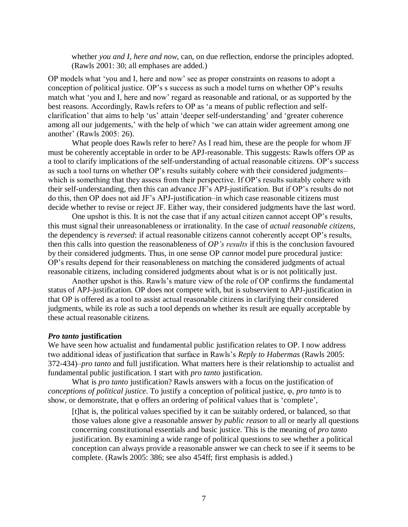whether *you and I, here and now*, can, on due reflection, endorse the principles adopted. (Rawls 2001: 30; all emphases are added.)

OP models what 'you and I, here and now' see as proper constraints on reasons to adopt a conception of political justice. OP's s success as such a model turns on whether OP's results match what 'you and I, here and now' regard as reasonable and rational, or as supported by the best reasons. Accordingly, Rawls refers to OP as 'a means of public reflection and selfclarification' that aims to help 'us' attain 'deeper self-understanding' and 'greater coherence among all our judgements,' with the help of which 'we can attain wider agreement among one another' (Rawls 2005: 26).

What people does Rawls refer to here? As I read him, these are the people for whom JF must be coherently acceptable in order to be APJ-reasonable. This suggests: Rawls offers OP as a tool to clarify implications of the self-understanding of actual reasonable citizens. OP's success as such a tool turns on whether OP's results suitably cohere with their considered judgments– which is something that they assess from their perspective. If OP's results suitably cohere with their self-understanding, then this can advance JF's APJ-justification. But if OP's results do not do this, then OP does not aid JF's APJ-justification–in which case reasonable citizens must decide whether to revise or reject JF. Either way, their considered judgments have the last word.

One upshot is this. It is not the case that if any actual citizen cannot accept OP's results, this must signal their unreasonableness or irrationality. In the case of *actual reasonable citizens*, the dependency is *reversed*: if actual reasonable citizens cannot coherently accept OP's results, then this calls into question the reasonableness of *OP's results* if this is the conclusion favoured by their considered judgments. Thus, in one sense OP *cannot* model pure procedural justice: OP's results depend for their reasonableness on matching the considered judgments of actual reasonable citizens, including considered judgments about what is or is not politically just.

Another upshot is this. Rawls's mature view of the role of OP confirms the fundamental status of APJ-justification. OP does not compete with, but is subservient to APJ-justification in that OP is offered as a tool to assist actual reasonable citizens in clarifying their considered judgments, while its role as such a tool depends on whether its result are equally acceptable by these actual reasonable citizens.

#### *Pro tanto* **justification**

We have seen how actualist and fundamental public justification relates to OP. I now address two additional ideas of justification that surface in Rawls's *Reply to Habermas* (Rawls 2005: 372-434)–*pro tanto* and full justification. What matters here is their relationship to actualist and fundamental public justification. I start with *pro tanto* justification.

What is *pro tanto* justification? Rawls answers with a focus on the justification of *conceptions of political justice*. To justify a conception of political justice, φ, *pro tanto* is to show, or demonstrate, that φ offers an ordering of political values that is 'complete',

[t]hat is, the political values specified by it can be suitably ordered, or balanced, so that those values alone give a reasonable answer *by public reason* to all or nearly all questions concerning constitutional essentials and basic justice. This is the meaning of *pro tanto* justification. By examining a wide range of political questions to see whether a political conception can always provide a reasonable answer we can check to see if it seems to be complete. (Rawls 2005: 386; see also 454ff; first emphasis is added.)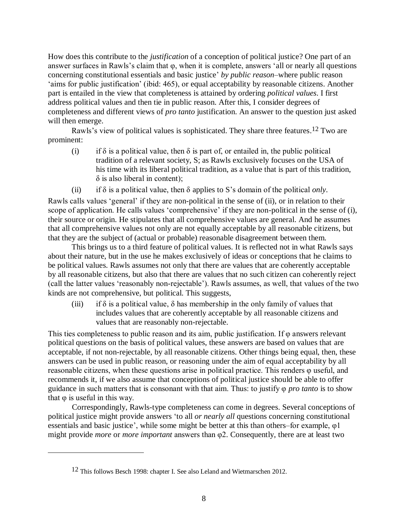How does this contribute to the *justification* of a conception of political justice? One part of an answer surfaces in Rawls's claim that φ, when it is complete, answers 'all or nearly all questions concerning constitutional essentials and basic justice' *by public reason*–where public reason 'aims for public justification' (ibid: 465), or equal acceptability by reasonable citizens. Another part is entailed in the view that completeness is attained by ordering *political values*. I first address political values and then tie in public reason. After this, I consider degrees of completeness and different views of *pro tanto* justification. An answer to the question just asked will then emerge.

Rawls's view of political values is sophisticated. They share three features.<sup>12</sup> Two are prominent:

- (i) if  $\delta$  is a political value, then  $\delta$  is part of, or entailed in, the public political tradition of a relevant society, S; as Rawls exclusively focuses on the USA of his time with its liberal political tradition, as a value that is part of this tradition,  $\delta$  is also liberal in content);
- (ii) if  $\delta$  is a political value, then  $\delta$  applies to S's domain of the political *only*.

Rawls calls values 'general' if they are non-political in the sense of (ii), or in relation to their scope of application. He calls values 'comprehensive' if they are non-political in the sense of (i), their source or origin. He stipulates that all comprehensive values are general. And he assumes that all comprehensive values not only are not equally acceptable by all reasonable citizens, but that they are the subject of (actual or probable) reasonable disagreement between them.

This brings us to a third feature of political values. It is reflected not in what Rawls says about their nature, but in the use he makes exclusively of ideas or conceptions that he claims to be political values. Rawls assumes not only that there are values that are coherently acceptable by all reasonable citizens, but also that there are values that no such citizen can coherently reject (call the latter values 'reasonably non-rejectable'). Rawls assumes, as well, that values of the two kinds are not comprehensive, but political. This suggests,

(iii) if  $\delta$  is a political value,  $\delta$  has membership in the only family of values that includes values that are coherently acceptable by all reasonable citizens and values that are reasonably non-rejectable.

This ties completeness to public reason and its aim, public justification. If  $\varphi$  answers relevant political questions on the basis of political values, these answers are based on values that are acceptable, if not non-rejectable, by all reasonable citizens. Other things being equal, then, these answers can be used in public reason, or reasoning under the aim of equal acceptability by all reasonable citizens, when these questions arise in political practice. This renders φ useful, and recommends it, if we also assume that conceptions of political justice should be able to offer guidance in such matters that is consonant with that aim. Thus: to justify φ *pro tanto* is to show that  $φ$  is useful in this way.

Correspondingly, Rawls-type completeness can come in degrees. Several conceptions of political justice might provide answers 'to all *or nearly all* questions concerning constitutional essentials and basic justice', while some might be better at this than others–for example, φ1 might provide *more* or *more important* answers than φ2. Consequently, there are at least two

<sup>&</sup>lt;sup>12</sup> This follows Besch 1998: chapter I. See also Leland and Wietmarschen 2012.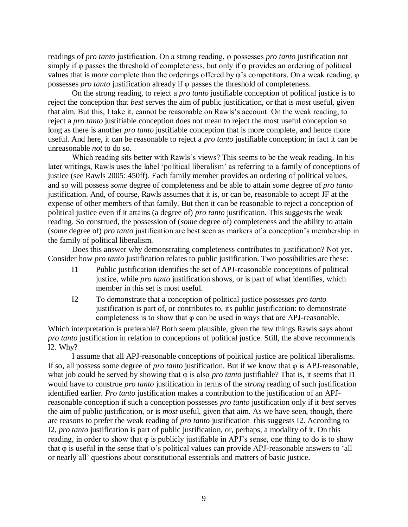readings of *pro tanto* justification. On a strong reading, φ possesses *pro tanto* justification not simply if φ passes the threshold of completeness, but only if φ provides an ordering of political values that is *more* complete than the orderings offered by φ's competitors. On a weak reading, φ possesses *pro tanto* justification already if φ passes the threshold of completeness.

On the strong reading, to reject a *pro tanto* justifiable conception of political justice is to reject the conception that *best* serves the aim of public justification, or that is *most* useful, given that aim. But this, I take it, cannot be reasonable on Rawls's account. On the weak reading, to reject a *pro tanto* justifiable conception does not mean to reject the most useful conception so long as there is another *pro tanto* justifiable conception that is more complete, and hence more useful. And here, it can be reasonable to reject a *pro tanto* justifiable conception; in fact it can be unreasonable *not* to do so.

Which reading sits better with Rawls's views? This seems to be the weak reading. In his later writings, Rawls uses the label 'political liberalism' as referring to a family of conceptions of justice (see Rawls 2005: 450ff). Each family member provides an ordering of political values, and so will possess *some* degree of completeness and be able to attain *some* degree of *pro tanto* justification. And, of course, Rawls assumes that it is, or can be, reasonable to accept JF at the expense of other members of that family. But then it can be reasonable to reject a conception of political justice even if it attains (a degree of) *pro tanto* justification. This suggests the weak reading. So construed, the possession of (*some* degree of) completeness and the ability to attain (*some* degree of) *pro tanto* justification are best seen as markers of a conception's membership in the family of political liberalism.

Does this answer why demonstrating completeness contributes to justification? Not yet. Consider how *pro tanto* justification relates to public justification. Two possibilities are these:

- I1 Public justification identifies the set of APJ-reasonable conceptions of political justice, while *pro tanto* justification shows, or is part of what identifies, which member in this set is most useful.
- I2 To demonstrate that a conception of political justice possesses *pro tanto* justification is part of, or contributes to, its public justification: to demonstrate completeness is to show that φ can be used in ways that are APJ-reasonable.

Which interpretation is preferable? Both seem plausible, given the few things Rawls says about *pro tanto* justification in relation to conceptions of political justice. Still, the above recommends I2. Why?

I assume that all APJ-reasonable conceptions of political justice are political liberalisms. If so, all possess some degree of *pro tanto* justification. But if we know that φ is APJ-reasonable, what job could be served by showing that φ is also *pro tanto* justifiable? That is, it seems that I1 would have to construe *pro tanto* justification in terms of the *strong* reading of such justification identified earlier. *Pro tanto* justification makes a contribution to the justification of an APJreasonable conception if such a conception possesses *pro tanto* justification only if it *best* serves the aim of public justification, or is *most* useful, given that aim. As we have seen, though, there are reasons to prefer the weak reading of *pro tanto* justification–this suggests I2. According to I2, *pro tanto* justification is part of public justification, or, perhaps, a modality of it. On this reading, in order to show that φ is publicly justifiable in APJ's sense, one thing to do is to show that  $\varphi$  is useful in the sense that  $\varphi$ 's political values can provide APJ-reasonable answers to 'all or nearly all' questions about constitutional essentials and matters of basic justice.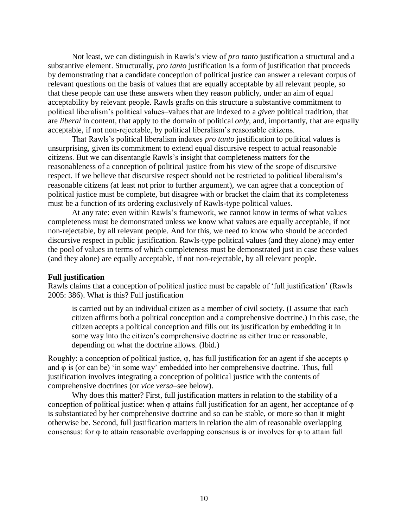Not least, we can distinguish in Rawls's view of *pro tanto* justification a structural and a substantive element. Structurally, *pro tanto* justification is a form of justification that proceeds by demonstrating that a candidate conception of political justice can answer a relevant corpus of relevant questions on the basis of values that are equally acceptable by all relevant people, so that these people can use these answers when they reason publicly, under an aim of equal acceptability by relevant people. Rawls grafts on this structure a substantive commitment to political liberalism's political values–values that are indexed to a *given* political tradition, that are *liberal* in content, that apply to the domain of political *only*, and, importantly, that are equally acceptable, if not non-rejectable, by political liberalism's reasonable citizens.

That Rawls's political liberalism indexes *pro tanto* justification to political values is unsurprising, given its commitment to extend equal discursive respect to actual reasonable citizens. But we can disentangle Rawls's insight that completeness matters for the reasonableness of a conception of political justice from his view of the scope of discursive respect. If we believe that discursive respect should not be restricted to political liberalism's reasonable citizens (at least not prior to further argument), we can agree that a conception of political justice must be complete, but disagree with or bracket the claim that its completeness must be a function of its ordering exclusively of Rawls-type political values.

At any rate: even within Rawls's framework, we cannot know in terms of what values completeness must be demonstrated unless we know what values are equally acceptable, if not non-rejectable, by all relevant people. And for this, we need to know who should be accorded discursive respect in public justification. Rawls-type political values (and they alone) may enter the pool of values in terms of which completeness must be demonstrated just in case these values (and they alone) are equally acceptable, if not non-rejectable, by all relevant people.

## **Full justification**

Rawls claims that a conception of political justice must be capable of 'full justification' (Rawls 2005: 386). What is this? Full justification

is carried out by an individual citizen as a member of civil society. (I assume that each citizen affirms both a political conception and a comprehensive doctrine.) In this case, the citizen accepts a political conception and fills out its justification by embedding it in some way into the citizen's comprehensive doctrine as either true or reasonable, depending on what the doctrine allows. (Ibid.)

Roughly: a conception of political justice,  $\varphi$ , has full justification for an agent if she accepts  $\varphi$ and  $\varphi$  is (or can be) 'in some way' embedded into her comprehensive doctrine. Thus, full justification involves integrating a conception of political justice with the contents of comprehensive doctrines (or *vice versa*–see below).

Why does this matter? First, full justification matters in relation to the stability of a conception of political justice: when φ attains full justification for an agent, her acceptance of φ is substantiated by her comprehensive doctrine and so can be stable, or more so than it might otherwise be. Second, full justification matters in relation the aim of reasonable overlapping consensus: for φ to attain reasonable overlapping consensus is or involves for φ to attain full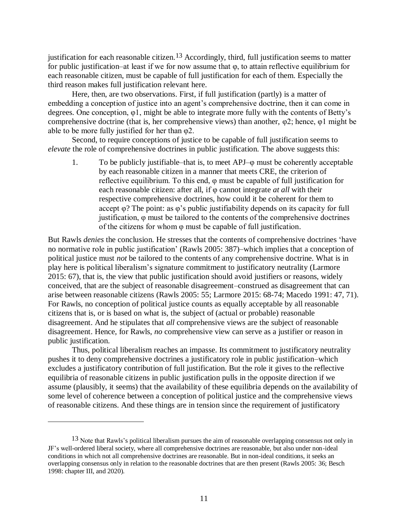justification for each reasonable citizen.<sup>13</sup> Accordingly, third, full justification seems to matter for public justification–at least if we for now assume that φ, to attain reflective equilibrium for each reasonable citizen, must be capable of full justification for each of them. Especially the third reason makes full justification relevant here.

Here, then, are two observations. First, if full justification (partly) is a matter of embedding a conception of justice into an agent's comprehensive doctrine, then it can come in degrees. One conception, φ1, might be able to integrate more fully with the contents of Betty's comprehensive doctrine (that is, her comprehensive views) than another, φ2; hence, φ1 might be able to be more fully justified for her than  $\varphi$ 2.

Second, to require conceptions of justice to be capable of full justification seems to *elevate* the role of comprehensive doctrines in public justification. The above suggests this:

1. To be publicly justifiable–that is, to meet APJ–φ must be coherently acceptable by each reasonable citizen in a manner that meets CRE, the criterion of reflective equilibrium. To this end, φ must be capable of full justification for each reasonable citizen: after all, if φ cannot integrate *at all* with their respective comprehensive doctrines, how could it be coherent for them to accept  $\varphi$ ? The point: as  $\varphi$ 's public justifiability depends on its capacity for full justification, φ must be tailored to the contents of the comprehensive doctrines of the citizens for whom φ must be capable of full justification.

But Rawls *denies* the conclusion. He stresses that the contents of comprehensive doctrines 'have no normative role in public justification' (Rawls 2005: 387)–which implies that a conception of political justice must *not* be tailored to the contents of any comprehensive doctrine. What is in play here is political liberalism's signature commitment to justificatory neutrality (Larmore 2015: 67), that is, the view that public justification should avoid justifiers or reasons, widely conceived, that are the subject of reasonable disagreement–construed as disagreement that can arise between reasonable citizens (Rawls 2005: 55; Larmore 2015: 68-74; Macedo 1991: 47, 71). For Rawls, no conception of political justice counts as equally acceptable by all reasonable citizens that is, or is based on what is, the subject of (actual or probable) reasonable disagreement. And he stipulates that *all* comprehensive views are the subject of reasonable disagreement. Hence, for Rawls, *no* comprehensive view can serve as a justifier or reason in public justification.

Thus, political liberalism reaches an impasse. Its commitment to justificatory neutrality pushes it to deny comprehensive doctrines a justificatory role in public justification–which excludes a justificatory contribution of full justification. But the role it gives to the reflective equilibria of reasonable citizens in public justification pulls in the opposite direction if we assume (plausibly, it seems) that the availability of these equilibria depends on the availability of some level of coherence between a conception of political justice and the comprehensive views of reasonable citizens. And these things are in tension since the requirement of justificatory

<sup>13</sup> Note that Rawls's political liberalism pursues the aim of reasonable overlapping consensus not only in JF's well-ordered liberal society, where all comprehensive doctrines are reasonable, but also under non-ideal conditions in which not all comprehensive doctrines are reasonable. But in non-ideal conditions, it seeks an overlapping consensus only in relation to the reasonable doctrines that are then present (Rawls 2005: 36; Besch 1998: chapter III, and 2020).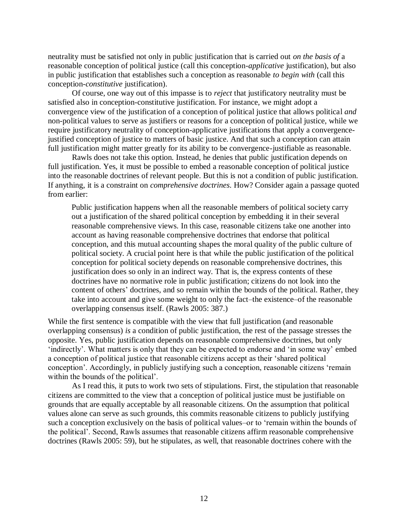neutrality must be satisfied not only in public justification that is carried out *on the basis of* a reasonable conception of political justice (call this conception-*applicative* justification), but also in public justification that establishes such a conception as reasonable *to begin with* (call this conception-*constitutive* justification).

Of course, one way out of this impasse is to *reject* that justificatory neutrality must be satisfied also in conception-constitutive justification. For instance, we might adopt a convergence view of the justification of a conception of political justice that allows political *and* non-political values to serve as justifiers or reasons for a conception of political justice, while we require justificatory neutrality of conception-applicative justifications that apply a convergencejustified conception of justice to matters of basic justice. And that such a conception can attain full justification might matter greatly for its ability to be convergence-justifiable as reasonable.

Rawls does not take this option. Instead, he denies that public justification depends on full justification. Yes, it must be possible to embed a reasonable conception of political justice into the reasonable doctrines of relevant people. But this is not a condition of public justification. If anything, it is a constraint on *comprehensive doctrines*. How? Consider again a passage quoted from earlier:

Public justification happens when all the reasonable members of political society carry out a justification of the shared political conception by embedding it in their several reasonable comprehensive views. In this case, reasonable citizens take one another into account as having reasonable comprehensive doctrines that endorse that political conception, and this mutual accounting shapes the moral quality of the public culture of political society. A crucial point here is that while the public justification of the political conception for political society depends on reasonable comprehensive doctrines, this justification does so only in an indirect way. That is, the express contents of these doctrines have no normative role in public justification; citizens do not look into the content of others' doctrines, and so remain within the bounds of the political. Rather, they take into account and give some weight to only the fact–the existence–of the reasonable overlapping consensus itself. (Rawls 2005: 387.)

While the first sentence is compatible with the view that full justification (and reasonable overlapping consensus) *is* a condition of public justification, the rest of the passage stresses the opposite. Yes, public justification depends on reasonable comprehensive doctrines, but only 'indirectly'. What matters is only that they can be expected to endorse and 'in some way' embed a conception of political justice that reasonable citizens accept as their 'shared political conception'. Accordingly, in publicly justifying such a conception, reasonable citizens 'remain within the bounds of the political'.

As I read this, it puts to work two sets of stipulations. First, the stipulation that reasonable citizens are committed to the view that a conception of political justice must be justifiable on grounds that are equally acceptable by all reasonable citizens. On the assumption that political values alone can serve as such grounds, this commits reasonable citizens to publicly justifying such a conception exclusively on the basis of political values–or to 'remain within the bounds of the political'. Second, Rawls assumes that reasonable citizens affirm reasonable comprehensive doctrines (Rawls 2005: 59), but he stipulates, as well, that reasonable doctrines cohere with the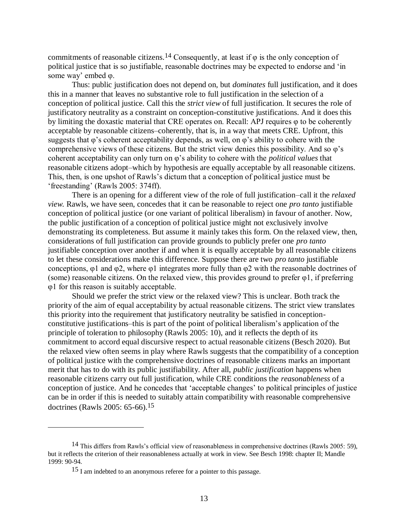commitments of reasonable citizens.<sup>14</sup> Consequently, at least if  $\varphi$  is the only conception of political justice that is so justifiable, reasonable doctrines may be expected to endorse and 'in some way' embed φ.

Thus: public justification does not depend on, but *dominates* full justification, and it does this in a manner that leaves no substantive role to full justification in the selection of a conception of political justice. Call this the *strict view* of full justification. It secures the role of justificatory neutrality as a constraint on conception-constitutive justifications. And it does this by limiting the doxastic material that CRE operates on. Recall: APJ requires φ to be coherently acceptable by reasonable citizens–coherently, that is, in a way that meets CRE. Upfront, this suggests that φ's coherent acceptability depends, as well, on φ's ability to cohere with the comprehensive views of these citizens. But the strict view denies this possibility. And so φ's coherent acceptability can only turn on φ's ability to cohere with the *political values* that reasonable citizens adopt–which by hypothesis are equally acceptable by all reasonable citizens. This, then, is one upshot of Rawls's dictum that a conception of political justice must be 'freestanding' (Rawls 2005: 374ff).

There is an opening for a different view of the role of full justification–call it the *relaxed view.* Rawls, we have seen, concedes that it can be reasonable to reject one *pro tanto* justifiable conception of political justice (or one variant of political liberalism) in favour of another. Now, the public justification of a conception of political justice might not exclusively involve demonstrating its completeness. But assume it mainly takes this form. On the relaxed view, then, considerations of full justification can provide grounds to publicly prefer one *pro tanto* justifiable conception over another if and when it is equally acceptable by all reasonable citizens to let these considerations make this difference. Suppose there are two *pro tanto* justifiable conceptions,  $\varphi$ 1 and  $\varphi$ 2, where  $\varphi$ 1 integrates more fully than  $\varphi$ 2 with the reasonable doctrines of (some) reasonable citizens. On the relaxed view, this provides ground to prefer  $\varphi$ 1, if preferring φ1 for this reason is suitably acceptable.

Should we prefer the strict view or the relaxed view? This is unclear. Both track the priority of the aim of equal acceptability by actual reasonable citizens. The strict view translates this priority into the requirement that justificatory neutrality be satisfied in conceptionconstitutive justifications–this is part of the point of political liberalism's application of the principle of toleration to philosophy (Rawls 2005: 10), and it reflects the depth of its commitment to accord equal discursive respect to actual reasonable citizens (Besch 2020). But the relaxed view often seems in play where Rawls suggests that the compatibility of a conception of political justice with the comprehensive doctrines of reasonable citizens marks an important merit that has to do with its public justifiability. After all, *public justification* happens when reasonable citizens carry out full justification, while CRE conditions the *reasonableness* of a conception of justice. And he concedes that 'acceptable changes' to political principles of justice can be in order if this is needed to suitably attain compatibility with reasonable comprehensive doctrines (Rawls 2005: 65-66).15

<sup>&</sup>lt;sup>14</sup> This differs from Rawls's official view of reasonableness in comprehensive doctrines (Rawls 2005: 59), but it reflects the criterion of their reasonableness actually at work in view. See Besch 1998: chapter II; Mandle 1999: 90-94.

<sup>15</sup> I am indebted to an anonymous referee for a pointer to this passage.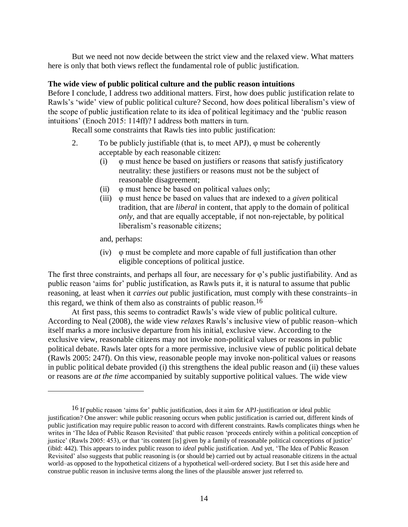But we need not now decide between the strict view and the relaxed view. What matters here is only that both views reflect the fundamental role of public justification.

## **The wide view of public political culture and the public reason intuitions**

Before I conclude, I address two additional matters. First, how does public justification relate to Rawls's 'wide' view of public political culture? Second, how does political liberalism's view of the scope of public justification relate to its idea of political legitimacy and the 'public reason intuitions' (Enoch 2015: 114ff)? I address both matters in turn.

Recall some constraints that Rawls ties into public justification:

- 2. To be publicly justifiable (that is, to meet APJ),  $\varphi$  must be coherently acceptable by each reasonable citizen:
	- (i) φ must hence be based on justifiers or reasons that satisfy justificatory neutrality: these justifiers or reasons must not be the subject of reasonable disagreement;
	- (ii)  $\varphi$  must hence be based on political values only;
	- (iii) φ must hence be based on values that are indexed to a *given* political tradition, that are *liberal* in content, that apply to the domain of political *only*, and that are equally acceptable, if not non-rejectable, by political liberalism's reasonable citizens;

and, perhaps:

 $\overline{a}$ 

(iv) φ must be complete and more capable of full justification than other eligible conceptions of political justice.

The first three constraints, and perhaps all four, are necessary for  $\varphi$ 's public justifiability. And as public reason 'aims for' public justification, as Rawls puts it, it is natural to assume that public reasoning, at least when it *carries out* public justification, must comply with these constraints–in this regard, we think of them also as constraints of public reason. 16

At first pass, this seems to contradict Rawls's wide view of public political culture. According to Neal (2008), the wide view *relaxes* Rawls's inclusive view of public reason–which itself marks a more inclusive departure from his initial, exclusive view. According to the exclusive view, reasonable citizens may not invoke non-political values or reasons in public political debate. Rawls later opts for a more permissive, inclusive view of public political debate (Rawls 2005: 247f). On this view, reasonable people may invoke non-political values or reasons in public political debate provided (i) this strengthens the ideal public reason and (ii) these values or reasons are *at the time* accompanied by suitably supportive political values. The wide view

<sup>16</sup> If public reason 'aims for' public justification, does it aim for APJ-justification or ideal public justification? One answer: while public reasoning occurs when public justification is carried out, different kinds of public justification may require public reason to accord with different constraints. Rawls complicates things when he writes in 'The Idea of Public Reason Revisited' that public reason 'proceeds entirely within a political conception of justice' (Rawls 2005: 453), or that 'its content [is] given by a family of reasonable political conceptions of justice' (ibid: 442). This appears to index public reason to *ideal* public justification. And yet, 'The Idea of Public Reason Revisited' also suggests that public reasoning is (or should be) carried out by actual reasonable citizens in the actual world–as opposed to the hypothetical citizens of a hypothetical well-ordered society. But I set this aside here and construe public reason in inclusive terms along the lines of the plausible answer just referred to.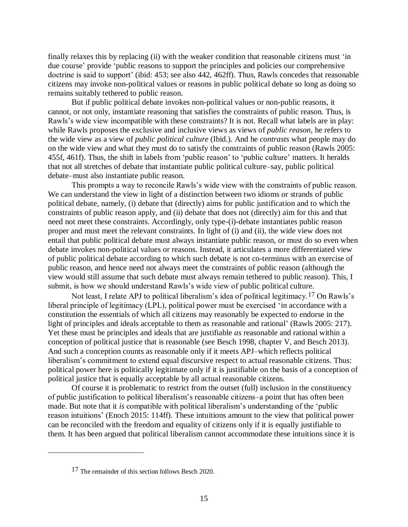finally relaxes this by replacing (ii) with the weaker condition that reasonable citizens must 'in due course' provide 'public reasons to support the principles and policies our comprehensive doctrine is said to support' (ibid: 453; see also 442, 462ff). Thus, Rawls concedes that reasonable citizens may invoke non-political values or reasons in public political debate so long as doing so remains suitably tethered to public reason.

But if public political debate invokes non-political values or non-public reasons, it cannot, or not only, instantiate reasoning that satisfies the constraints of public reason. Thus, is Rawls's wide view incompatible with these constraints? It is not. Recall what labels are in play: while Rawls proposes the exclusive and inclusive views as views of *public reason*, he refers to the wide view as a view of *public political culture* (Ibid.)*.* And he *contrasts* what people may do on the wide view and what they must do to satisfy the constraints of public reason (Rawls 2005: 455f, 461f). Thus, the shift in labels from 'public reason' to 'public culture' matters. It heralds that not all stretches of debate that instantiate public political culture–say, public political debate–must also instantiate public reason.

This prompts a way to reconcile Rawls's wide view with the constraints of public reason. We can understand the view in light of a distinction between two idioms or strands of public political debate, namely, (i) debate that (directly) aims for public justification and to which the constraints of public reason apply, and (ii) debate that does not (directly) aim for this and that need not meet these constraints. Accordingly, only type-(i)-debate instantiates public reason proper and must meet the relevant constraints. In light of (i) and (ii), the wide view does not entail that public political debate must always instantiate public reason, or must do so even when debate invokes non-political values or reasons. Instead, it articulates a more differentiated view of public political debate according to which such debate is not co-terminus with an exercise of public reason, and hence need not always meet the constraints of public reason (although the view would still assume that such debate must always remain tethered to public reason). This, I submit, is how we should understand Rawls's wide view of public political culture.

Not least, I relate APJ to political liberalism's idea of political legitimacy.<sup>17</sup> On Rawls's liberal principle of legitimacy (LPL), political power must be exercised 'in accordance with a constitution the essentials of which all citizens may reasonably be expected to endorse in the light of principles and ideals acceptable to them as reasonable and rational' (Rawls 2005: 217). Yet these must be principles and ideals that are justifiable *as* reasonable and rational within a conception of political justice that is reasonable (see Besch 1998, chapter V, and Besch 2013). And such a conception counts as reasonable only if it meets APJ–which reflects political liberalism's commitment to extend equal discursive respect to actual reasonable citizens. Thus: political power here is politically legitimate only if it is justifiable on the basis of a conception of political justice that is equally acceptable by all actual reasonable citizens.

Of course it is problematic to restrict from the outset (full) inclusion in the constituency of public justification to political liberalism's reasonable citizens–a point that has often been made. But note that it *is* compatible with political liberalism's understanding of the 'public reason intuitions' (Enoch 2015: 114ff). These intuitions amount to the view that political power can be reconciled with the freedom and equality of citizens only if it is equally justifiable to them. It has been argued that political liberalism cannot accommodate these intuitions since it is

<sup>17</sup> The remainder of this section follows Besch 2020.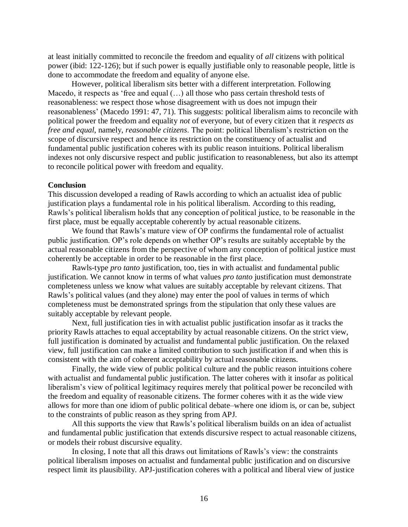at least initially committed to reconcile the freedom and equality of *all* citizens with political power (ibid: 122-126); but if such power is equally justifiable only to reasonable people, little is done to accommodate the freedom and equality of anyone else.

However, political liberalism sits better with a different interpretation. Following Macedo, it respects as 'free and equal  $(...)$  all those who pass certain threshold tests of reasonableness: we respect those whose disagreement with us does not impugn their reasonableness' (Macedo 1991: 47, 71). This suggests: political liberalism aims to reconcile with political power the freedom and equality *not* of everyone, but of every citizen that it *respects as free and equal*, namely, *reasonable citizens*. The point: political liberalism's restriction on the scope of discursive respect and hence its restriction on the constituency of actualist and fundamental public justification coheres with its public reason intuitions. Political liberalism indexes not only discursive respect and public justification to reasonableness, but also its attempt to reconcile political power with freedom and equality.

#### **Conclusion**

This discussion developed a reading of Rawls according to which an actualist idea of public justification plays a fundamental role in his political liberalism. According to this reading, Rawls's political liberalism holds that any conception of political justice, to be reasonable in the first place, must be equally acceptable coherently by actual reasonable citizens.

We found that Rawls's mature view of OP confirms the fundamental role of actualist public justification. OP's role depends on whether OP's results are suitably acceptable by the actual reasonable citizens from the perspective of whom any conception of political justice must coherently be acceptable in order to be reasonable in the first place.

Rawls-type *pro tanto* justification, too, ties in with actualist and fundamental public justification. We cannot know in terms of what values *pro tanto* justification must demonstrate completeness unless we know what values are suitably acceptable by relevant citizens. That Rawls's political values (and they alone) may enter the pool of values in terms of which completeness must be demonstrated springs from the stipulation that only these values are suitably acceptable by relevant people.

Next, full justification ties in with actualist public justification insofar as it tracks the priority Rawls attaches to equal acceptability by actual reasonable citizens. On the strict view, full justification is dominated by actualist and fundamental public justification. On the relaxed view, full justification can make a limited contribution to such justification if and when this is consistent with the aim of coherent acceptability by actual reasonable citizens.

Finally, the wide view of public political culture and the public reason intuitions cohere with actualist and fundamental public justification. The latter coheres with it insofar as political liberalism's view of political legitimacy requires merely that political power be reconciled with the freedom and equality of reasonable citizens. The former coheres with it as the wide view allows for more than one idiom of public political debate–where one idiom is, or can be, subject to the constraints of public reason as they spring from APJ.

All this supports the view that Rawls's political liberalism builds on an idea of actualist and fundamental public justification that extends discursive respect to actual reasonable citizens, or models their robust discursive equality.

In closing, I note that all this draws out limitations of Rawls's view: the constraints political liberalism imposes on actualist and fundamental public justification and on discursive respect limit its plausibility. APJ-justification coheres with a political and liberal view of justice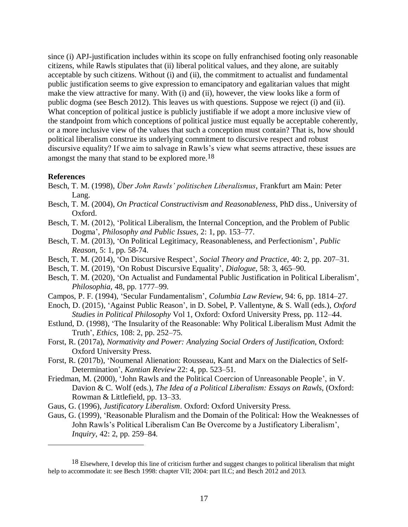since (i) APJ-justification includes within its scope on fully enfranchised footing only reasonable citizens, while Rawls stipulates that (ii) liberal political values, and they alone, are suitably acceptable by such citizens. Without (i) and (ii), the commitment to actualist and fundamental public justification seems to give expression to emancipatory and egalitarian values that might make the view attractive for many. With (i) and (ii), however, the view looks like a form of public dogma (see Besch 2012). This leaves us with questions. Suppose we reject (i) and (ii). What conception of political justice is publicly justifiable if we adopt a more inclusive view of the standpoint from which conceptions of political justice must equally be acceptable coherently, or a more inclusive view of the values that such a conception must contain? That is, how should political liberalism construe its underlying commitment to discursive respect and robust discursive equality? If we aim to salvage in Rawls's view what seems attractive, these issues are amongst the many that stand to be explored more.<sup>18</sup>

#### **References**

- Besch, T. M. (1998), *Über John Rawls' politischen Liberalismus*, Frankfurt am Main: Peter Lang.
- Besch, T. M. (2004), *On Practical Constructivism and Reasonableness*, PhD diss., University of Oxford.
- Besch, T. M. (2012), 'Political Liberalism, the Internal Conception, and the Problem of Public Dogma', *Philosophy and Public Issues*, 2: 1, pp. 153–77.
- Besch, T. M. (2013), 'On Political Legitimacy, Reasonableness, and Perfectionism', *Public Reason*, 5: 1, pp. 58-74.
- Besch, T. M. (2014), 'On Discursive Respect', *Social Theory and Practice*, 40: 2, pp. 207–31.
- Besch, T. M. (2019), 'On Robust Discursive Equality', *Dialogue*, 58: 3, 465–90.
- Besch, T. M. (2020), 'On Actualist and Fundamental Public Justification in Political Liberalism', *Philosophia*, 48, pp. 1777–99.
- Campos, P. F. (1994), 'Secular Fundamentalism', *Columbia Law Review*, 94: 6, pp. 1814–27.
- Enoch, D. (2015), 'Against Public Reason', in D. Sobel, P. Vallentyne, & S. Wall (eds.), *Oxford Studies in Political Philosophy* Vol 1, Oxford: Oxford University Press, pp. 112–44.
- Estlund, D. (1998), 'The Insularity of the Reasonable: Why Political Liberalism Must Admit the Truth', *Ethics*, 108: 2, pp. 252–75.
- Forst, R. (2017a), *Normativity and Power: Analyzing Social Orders of Justification*, Oxford: Oxford University Press.
- Forst, R. (2017b), 'Noumenal Alienation: Rousseau, Kant and Marx on the Dialectics of Self-Determination', *Kantian Review* 22: 4, pp. 523–51.
- Friedman, M. (2000), 'John Rawls and the Political Coercion of Unreasonable People', in V. Davion & C. Wolf (eds.), *The Idea of a Political Liberalism: Essays on Rawls*, (Oxford: Rowman & Littlefield, pp. 13–33.
- Gaus, G. (1996), *Justificatory Liberalism*. Oxford: Oxford University Press.
- Gaus, G. (1999), 'Reasonable Pluralism and the Domain of the Political: How the Weaknesses of John Rawls's Political Liberalism Can Be Overcome by a Justificatory Liberalism', *Inquiry*, 42: 2, pp. 259–84.

<sup>&</sup>lt;sup>18</sup> Elsewhere, I develop this line of criticism further and suggest changes to political liberalism that might help to accommodate it: see Besch 1998: chapter VII; 2004: part II.C; and Besch 2012 and 2013.